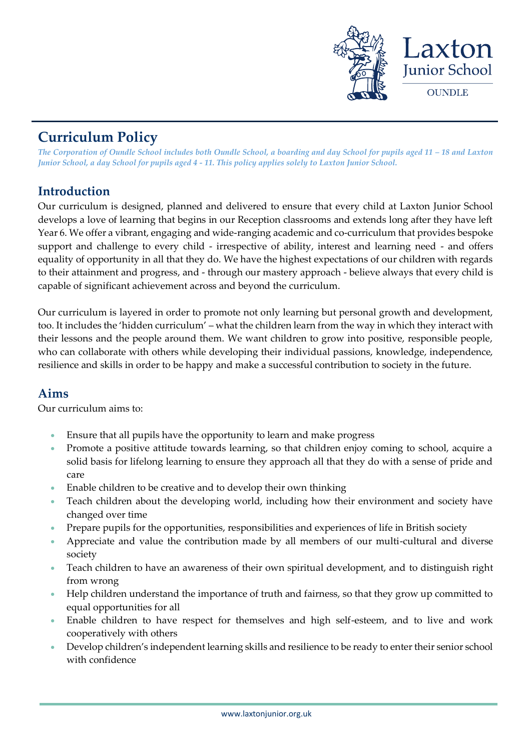

# **Curriculum Policy**

*The Corporation of Oundle School includes both Oundle School, a boarding and day School for pupils aged 11 – 18 and Laxton Junior School, a day School for pupils aged 4 - 11. This policy applies solely to Laxton Junior School.*

# **Introduction**

Our curriculum is designed, planned and delivered to ensure that every child at Laxton Junior School develops a love of learning that begins in our Reception classrooms and extends long after they have left Year 6. We offer a vibrant, engaging and wide-ranging academic and co-curriculum that provides bespoke support and challenge to every child - irrespective of ability, interest and learning need - and offers equality of opportunity in all that they do. We have the highest expectations of our children with regards to their attainment and progress, and - through our mastery approach - believe always that every child is capable of significant achievement across and beyond the curriculum.

Our curriculum is layered in order to promote not only learning but personal growth and development, too. It includes the 'hidden curriculum' – what the children learn from the way in which they interact with their lessons and the people around them. We want children to grow into positive, responsible people, who can collaborate with others while developing their individual passions, knowledge, independence, resilience and skills in order to be happy and make a successful contribution to society in the future.

### **Aims**

Our curriculum aims to:

- Ensure that all pupils have the opportunity to learn and make progress
- Promote a positive attitude towards learning, so that children enjoy coming to school, acquire a solid basis for lifelong learning to ensure they approach all that they do with a sense of pride and care
- Enable children to be creative and to develop their own thinking
- Teach children about the developing world, including how their environment and society have changed over time
- Prepare pupils for the opportunities, responsibilities and experiences of life in British society
- Appreciate and value the contribution made by all members of our multi-cultural and diverse society
- Teach children to have an awareness of their own spiritual development, and to distinguish right from wrong
- Help children understand the importance of truth and fairness, so that they grow up committed to equal opportunities for all
- Enable children to have respect for themselves and high self-esteem, and to live and work cooperatively with others
- Develop children's independent learning skills and resilience to be ready to enter their senior school with confidence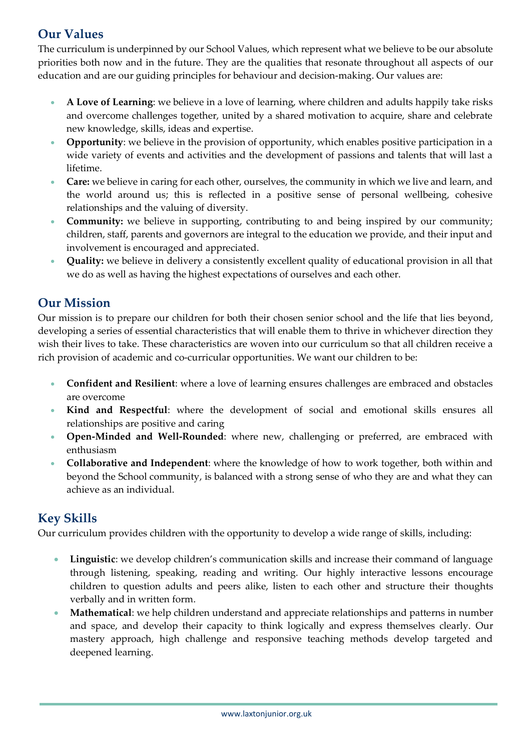# **Our Values**

The curriculum is underpinned by our School Values, which represent what we believe to be our absolute priorities both now and in the future. They are the qualities that resonate throughout all aspects of our education and are our guiding principles for behaviour and decision-making. Our values are:

- **A Love of Learning**: we believe in a love of learning, where children and adults happily take risks and overcome challenges together, united by a shared motivation to acquire, share and celebrate new knowledge, skills, ideas and expertise.
- **Opportunity**: we believe in the provision of opportunity, which enables positive participation in a wide variety of events and activities and the development of passions and talents that will last a lifetime.
- **Care:** we believe in caring for each other, ourselves, the community in which we live and learn, and the world around us; this is reflected in a positive sense of personal wellbeing, cohesive relationships and the valuing of diversity.
- **Community:** we believe in supporting, contributing to and being inspired by our community; children, staff, parents and governors are integral to the education we provide, and their input and involvement is encouraged and appreciated.
- **Quality:** we believe in delivery a consistently excellent quality of educational provision in all that we do as well as having the highest expectations of ourselves and each other.

# **Our Mission**

Our mission is to prepare our children for both their chosen senior school and the life that lies beyond, developing a series of essential characteristics that will enable them to thrive in whichever direction they wish their lives to take. These characteristics are woven into our curriculum so that all children receive a rich provision of academic and co-curricular opportunities. We want our children to be:

- **Confident and Resilient**: where a love of learning ensures challenges are embraced and obstacles are overcome
- **Kind and Respectful**: where the development of social and emotional skills ensures all relationships are positive and caring
- **Open-Minded and Well-Rounded**: where new, challenging or preferred, are embraced with enthusiasm
- **Collaborative and Independent**: where the knowledge of how to work together, both within and beyond the School community, is balanced with a strong sense of who they are and what they can achieve as an individual.

# **Key Skills**

Our curriculum provides children with the opportunity to develop a wide range of skills, including:

- **Linguistic**: we develop children's communication skills and increase their command of language through listening, speaking, reading and writing. Our highly interactive lessons encourage children to question adults and peers alike, listen to each other and structure their thoughts verbally and in written form.
- **Mathematical**: we help children understand and appreciate relationships and patterns in number and space, and develop their capacity to think logically and express themselves clearly. Our mastery approach, high challenge and responsive teaching methods develop targeted and deepened learning.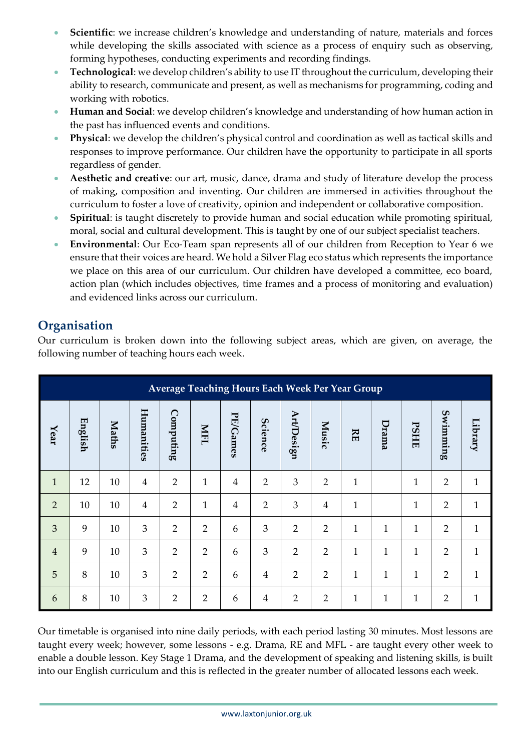- **Scientific**: we increase children's knowledge and understanding of nature, materials and forces while developing the skills associated with science as a process of enquiry such as observing, forming hypotheses, conducting experiments and recording findings.
- **Technological**: we develop children's ability to use IT throughout the curriculum, developing their ability to research, communicate and present, as well as mechanisms for programming, coding and working with robotics.
- **Human and Social**: we develop children's knowledge and understanding of how human action in the past has influenced events and conditions.
- **Physical**: we develop the children's physical control and coordination as well as tactical skills and responses to improve performance. Our children have the opportunity to participate in all sports regardless of gender.
- **Aesthetic and creative**: our art, music, dance, drama and study of literature develop the process of making, composition and inventing. Our children are immersed in activities throughout the curriculum to foster a love of creativity, opinion and independent or collaborative composition.
- **Spiritual**: is taught discretely to provide human and social education while promoting spiritual, moral, social and cultural development. This is taught by one of our subject specialist teachers.
- **Environmental**: Our Eco-Team span represents all of our children from Reception to Year 6 we ensure that their voices are heard. We hold a Silver Flag eco status which represents the importance we place on this area of our curriculum. Our children have developed a committee, eco board, action plan (which includes objectives, time frames and a process of monitoring and evaluation) and evidenced links across our curriculum.

# **Organisation**

Our curriculum is broken down into the following subject areas, which are given, on average, the following number of teaching hours each week.

| Average Teaching Hours Each Week Per Year Group |         |              |                |                |                |                |                |                   |                |              |              |              |                |              |
|-------------------------------------------------|---------|--------------|----------------|----------------|----------------|----------------|----------------|-------------------|----------------|--------------|--------------|--------------|----------------|--------------|
| Year                                            | English | <b>Maths</b> | Humanities     | Computing      | NFI            | PE/Games       | Science        | <b>Art/Design</b> | Music          | KE           | Drama        | <b>PSHE</b>  | Swimming       | Library      |
| $\mathbf{1}$                                    | 12      | 10           | $\overline{4}$ | $\overline{2}$ | $\mathbf{1}$   | $\overline{4}$ | $\overline{2}$ | 3                 | $\overline{2}$ | $\mathbf{1}$ |              | $\mathbf{1}$ | $\overline{2}$ | $\mathbf{1}$ |
| $\overline{2}$                                  | 10      | 10           | $\overline{4}$ | $\overline{2}$ | $\mathbf{1}$   | $\overline{4}$ | $\overline{2}$ | 3                 | $\overline{4}$ | 1            |              | $\mathbf{1}$ | $\overline{2}$ | $\mathbf{1}$ |
| $\overline{3}$                                  | 9       | 10           | $\overline{3}$ | $\overline{2}$ | $\overline{2}$ | 6              | 3              | $\overline{2}$    | $\overline{2}$ | $\mathbf 1$  | $\mathbf{1}$ | $\mathbf{1}$ | $\overline{2}$ | $\mathbf{1}$ |
| $\overline{4}$                                  | 9       | 10           | 3              | $\overline{2}$ | $\overline{2}$ | 6              | 3              | $\overline{2}$    | $\overline{2}$ | $\mathbf{1}$ | $\mathbf{1}$ | $\mathbf{1}$ | $\overline{2}$ | $\mathbf{1}$ |
| 5                                               | 8       | 10           | 3              | $\overline{2}$ | $\overline{2}$ | 6              | $\overline{4}$ | $\overline{2}$    | $\overline{2}$ | $\mathbf{1}$ | $\mathbf{1}$ | $\mathbf{1}$ | $\overline{2}$ | $\mathbf{1}$ |
| 6                                               | 8       | 10           | 3              | $\overline{2}$ | $\overline{2}$ | 6              | $\overline{4}$ | $\overline{2}$    | $\overline{2}$ | $\mathbf{1}$ | $\mathbf{1}$ | $\mathbf{1}$ | $\overline{2}$ | $\mathbf{1}$ |

Our timetable is organised into nine daily periods, with each period lasting 30 minutes. Most lessons are taught every week; however, some lessons - e.g. Drama, RE and MFL - are taught every other week to enable a double lesson. Key Stage 1 Drama, and the development of speaking and listening skills, is built into our English curriculum and this is reflected in the greater number of allocated lessons each week.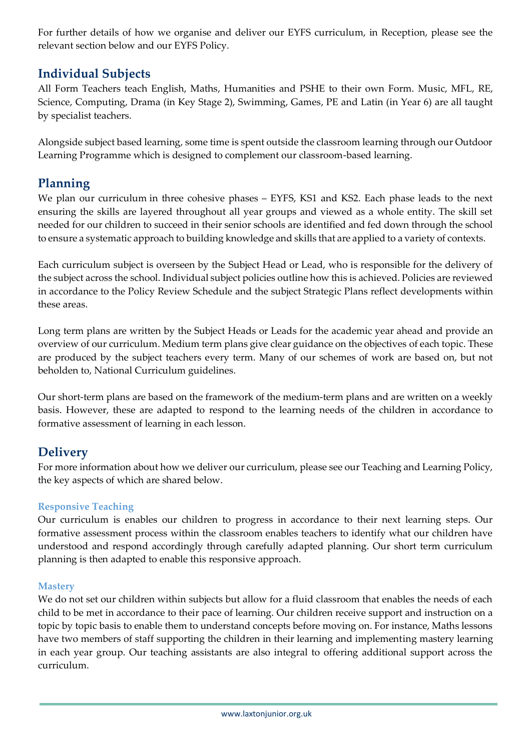For further details of how we organise and deliver our EYFS curriculum, in Reception, please see the relevant section below and our EYFS Policy.

## **Individual Subjects**

All Form Teachers teach English, Maths, Humanities and PSHE to their own Form. Music, MFL, RE, Science, Computing, Drama (in Key Stage 2), Swimming, Games, PE and Latin (in Year 6) are all taught by specialist teachers.

Alongside subject based learning, some time is spent outside the classroom learning through our Outdoor Learning Programme which is designed to complement our classroom-based learning.

# **Planning**

We plan our curriculum in three cohesive phases – EYFS, KS1 and KS2. Each phase leads to the next ensuring the skills are layered throughout all year groups and viewed as a whole entity. The skill set needed for our children to succeed in their senior schools are identified and fed down through the school to ensure a systematic approach to building knowledge and skills that are applied to a variety of contexts.

Each curriculum subject is overseen by the Subject Head or Lead, who is responsible for the delivery of the subject across the school. Individual subject policies outline how this is achieved. Policies are reviewed in accordance to the Policy Review Schedule and the subject Strategic Plans reflect developments within these areas.

Long term plans are written by the Subject Heads or Leads for the academic year ahead and provide an overview of our curriculum. Medium term plans give clear guidance on the objectives of each topic. These are produced by the subject teachers every term. Many of our schemes of work are based on, but not beholden to, National Curriculum guidelines.

Our short-term plans are based on the framework of the medium-term plans and are written on a weekly basis. However, these are adapted to respond to the learning needs of the children in accordance to formative assessment of learning in each lesson.

### **Delivery**

For more information about how we deliver our curriculum, please see our Teaching and Learning Policy, the key aspects of which are shared below.

### **Responsive Teaching**

Our curriculum is enables our children to progress in accordance to their next learning steps. Our formative assessment process within the classroom enables teachers to identify what our children have understood and respond accordingly through carefully adapted planning. Our short term curriculum planning is then adapted to enable this responsive approach.

### **Mastery**

We do not set our children within subjects but allow for a fluid classroom that enables the needs of each child to be met in accordance to their pace of learning. Our children receive support and instruction on a topic by topic basis to enable them to understand concepts before moving on. For instance, Maths lessons have two members of staff supporting the children in their learning and implementing mastery learning in each year group. Our teaching assistants are also integral to offering additional support across the curriculum.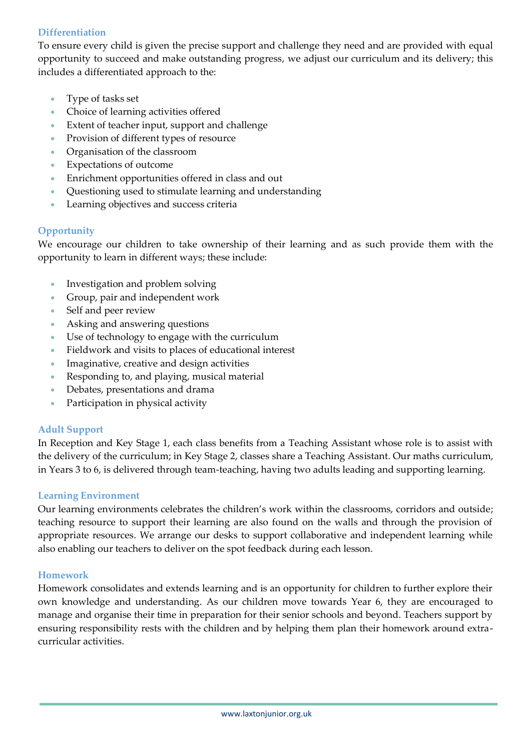### **Differentiation**

To ensure every child is given the precise support and challenge they need and are provided with equal opportunity to succeed and make outstanding progress, we adjust our curriculum and its delivery; this includes a differentiated approach to the:

- Type of tasks set
- Choice of learning activities offered
- Extent of teacher input, support and challenge
- Provision of different types of resource
- Organisation of the classroom
- Expectations of outcome
- Enrichment opportunities offered in class and out
- Questioning used to stimulate learning and understanding
- Learning objectives and success criteria

#### **Opportunity**

We encourage our children to take ownership of their learning and as such provide them with the opportunity to learn in different ways; these include:

- Investigation and problem solving
- Group, pair and independent work
- Self and peer review
- Asking and answering questions
- Use of technology to engage with the curriculum
- Fieldwork and visits to places of educational interest
- Imaginative, creative and design activities
- Responding to, and playing, musical material
- Debates, presentations and drama
- Participation in physical activity

#### **Adult Support**

In Reception and Key Stage 1, each class benefits from a Teaching Assistant whose role is to assist with the delivery of the curriculum; in Key Stage 2, classes share a Teaching Assistant. Our maths curriculum, in Years 3 to 6, is delivered through team-teaching, having two adults leading and supporting learning.

#### **Learning Environment**

Our learning environments celebrates the children's work within the classrooms, corridors and outside; teaching resource to support their learning are also found on the walls and through the provision of appropriate resources. We arrange our desks to support collaborative and independent learning while also enabling our teachers to deliver on the spot feedback during each lesson.

#### **Homework**

Homework consolidates and extends learning and is an opportunity for children to further explore their own knowledge and understanding. As our children move towards Year 6, they are encouraged to manage and organise their time in preparation for their senior schools and beyond. Teachers support by ensuring responsibility rests with the children and by helping them plan their homework around extracurricular activities.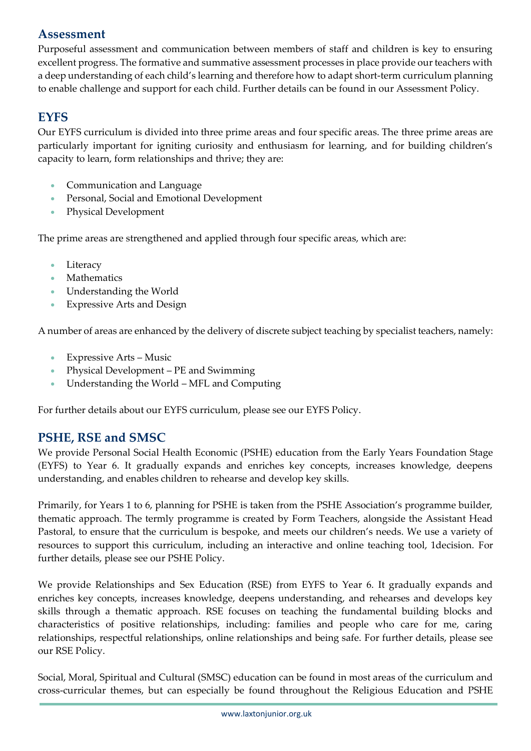## **Assessment**

Purposeful assessment and communication between members of staff and children is key to ensuring excellent progress. The formative and summative assessment processes in place provide our teachers with a deep understanding of each child's learning and therefore how to adapt short-term curriculum planning to enable challenge and support for each child. Further details can be found in our Assessment Policy.

## **EYFS**

Our EYFS curriculum is divided into three prime areas and four specific areas. The three prime areas are particularly important for igniting curiosity and enthusiasm for learning, and for building children's capacity to learn, form relationships and thrive; they are:

- Communication and Language
- Personal, Social and Emotional Development
- Physical Development

The prime areas are strengthened and applied through four specific areas, which are:

- Literacy
- Mathematics
- Understanding the World
- Expressive Arts and Design

A number of areas are enhanced by the delivery of discrete subject teaching by specialist teachers, namely:

- Expressive Arts Music
- Physical Development PE and Swimming
- Understanding the World MFL and Computing

For further details about our EYFS curriculum, please see our EYFS Policy.

### **PSHE, RSE and SMSC**

We provide Personal Social Health Economic (PSHE) education from the Early Years Foundation Stage (EYFS) to Year 6. It gradually expands and enriches key concepts, increases knowledge, deepens understanding, and enables children to rehearse and develop key skills.

Primarily, for Years 1 to 6, planning for PSHE is taken from the PSHE Association's programme builder, thematic approach. The termly programme is created by Form Teachers, alongside the Assistant Head Pastoral, to ensure that the curriculum is bespoke, and meets our children's needs. We use a variety of resources to support this curriculum, including an interactive and online teaching tool, 1decision. For further details, please see our PSHE Policy.

We provide Relationships and Sex Education (RSE) from EYFS to Year 6. It gradually expands and enriches key concepts, increases knowledge, deepens understanding, and rehearses and develops key skills through a thematic approach. RSE focuses on teaching the fundamental building blocks and characteristics of positive relationships, including: families and people who care for me, caring relationships, respectful relationships, online relationships and being safe. For further details, please see our RSE Policy.

Social, Moral, Spiritual and Cultural (SMSC) education can be found in most areas of the curriculum and cross-curricular themes, but can especially be found throughout the Religious Education and PSHE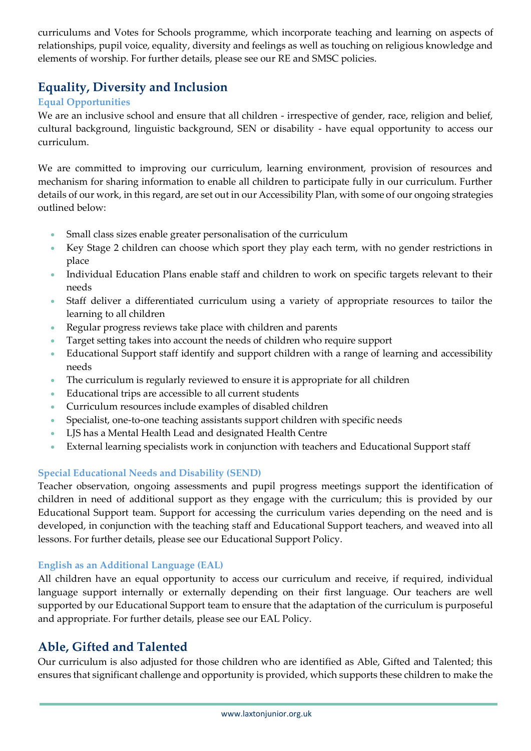curriculums and Votes for Schools programme, which incorporate teaching and learning on aspects of relationships, pupil voice, equality, diversity and feelings as well as touching on religious knowledge and elements of worship. For further details, please see our RE and SMSC policies.

# **Equality, Diversity and Inclusion**

### **Equal Opportunities**

We are an inclusive school and ensure that all children - irrespective of gender, race, religion and belief, cultural background, linguistic background, SEN or disability - have equal opportunity to access our curriculum.

We are committed to improving our curriculum, learning environment, provision of resources and mechanism for sharing information to enable all children to participate fully in our curriculum. Further details of our work, in this regard, are set out in our Accessibility Plan, with some of our ongoing strategies outlined below:

- Small class sizes enable greater personalisation of the curriculum
- Key Stage 2 children can choose which sport they play each term, with no gender restrictions in place
- Individual Education Plans enable staff and children to work on specific targets relevant to their needs
- Staff deliver a differentiated curriculum using a variety of appropriate resources to tailor the learning to all children
- Regular progress reviews take place with children and parents
- Target setting takes into account the needs of children who require support
- Educational Support staff identify and support children with a range of learning and accessibility needs
- The curriculum is regularly reviewed to ensure it is appropriate for all children
- Educational trips are accessible to all current students
- Curriculum resources include examples of disabled children
- Specialist, one-to-one teaching assistants support children with specific needs
- LJS has a Mental Health Lead and designated Health Centre
- External learning specialists work in conjunction with teachers and Educational Support staff

### **Special Educational Needs and Disability (SEND)**

Teacher observation, ongoing assessments and pupil progress meetings support the identification of children in need of additional support as they engage with the curriculum; this is provided by our Educational Support team. Support for accessing the curriculum varies depending on the need and is developed, in conjunction with the teaching staff and Educational Support teachers, and weaved into all lessons. For further details, please see our Educational Support Policy.

### **English as an Additional Language (EAL)**

All children have an equal opportunity to access our curriculum and receive, if required, individual language support internally or externally depending on their first language. Our teachers are well supported by our Educational Support team to ensure that the adaptation of the curriculum is purposeful and appropriate. For further details, please see our EAL Policy.

# **Able, Gifted and Talented**

Our curriculum is also adjusted for those children who are identified as Able, Gifted and Talented; this ensures that significant challenge and opportunity is provided, which supports these children to make the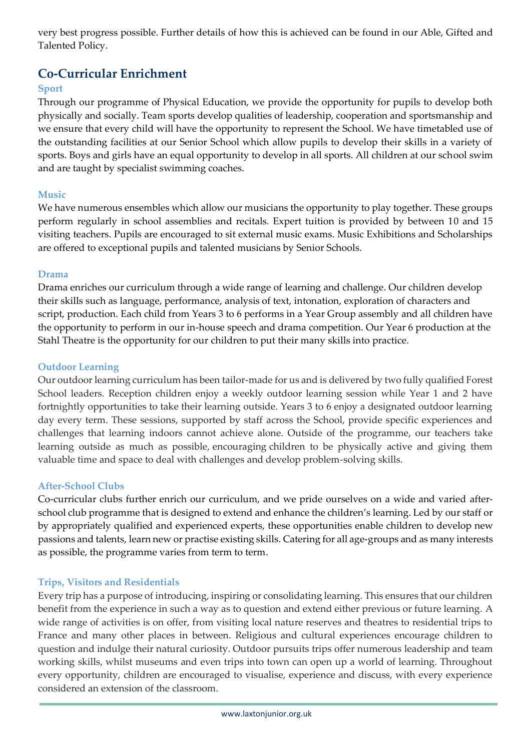very best progress possible. Further details of how this is achieved can be found in our Able, Gifted and Talented Policy.

# **Co-Curricular Enrichment**

### **Sport**

Through our programme of Physical Education, we provide the opportunity for pupils to develop both physically and socially. Team sports develop qualities of leadership, cooperation and sportsmanship and we ensure that every child will have the opportunity to represent the School. We have timetabled use of the outstanding facilities at our Senior School which allow pupils to develop their skills in a variety of sports. Boys and girls have an equal opportunity to develop in all sports. All children at our school swim and are taught by specialist swimming coaches.

### **Music**

We have numerous ensembles which allow our musicians the opportunity to play together. These groups perform regularly in school assemblies and recitals. Expert tuition is provided by between 10 and 15 visiting teachers. Pupils are encouraged to sit external music exams. Music Exhibitions and Scholarships are offered to exceptional pupils and talented musicians by Senior Schools.

#### **Drama**

Drama enriches our curriculum through a wide range of learning and challenge. Our children develop their skills such as language, performance, analysis of text, intonation, exploration of characters and script, production. Each child from Years 3 to 6 performs in a Year Group assembly and all children have the opportunity to perform in our in-house speech and drama competition. Our Year 6 production at the Stahl Theatre is the opportunity for our children to put their many skills into practice.

#### **Outdoor Learning**

Our outdoor learning curriculum has been tailor-made for us and is delivered by two fully qualified Forest School leaders. Reception children enjoy a weekly outdoor learning session while Year 1 and 2 have fortnightly opportunities to take their learning outside. Years 3 to 6 enjoy a designated outdoor learning day every term. These sessions, supported by staff across the School, provide specific experiences and challenges that learning indoors cannot achieve alone. Outside of the programme, our teachers take learning outside as much as possible, encouraging children to be physically active and giving them valuable time and space to deal with challenges and develop problem-solving skills.

#### **After-School Clubs**

Co-curricular clubs further enrich our curriculum, and we pride ourselves on a wide and varied afterschool club programme that is designed to extend and enhance the children's learning. Led by our staff or by appropriately qualified and experienced experts, these opportunities enable children to develop new passions and talents, learn new or practise existing skills. Catering for all age-groups and as many interests as possible, the programme varies from term to term.

#### **Trips, Visitors and Residentials**

Every trip has a purpose of introducing, inspiring or consolidating learning. This ensures that our children benefit from the experience in such a way as to question and extend either previous or future learning. A wide range of activities is on offer, from visiting local nature reserves and theatres to residential trips to France and many other places in between. Religious and cultural experiences encourage children to question and indulge their natural curiosity. Outdoor pursuits trips offer numerous leadership and team working skills, whilst museums and even trips into town can open up a world of learning. Throughout every opportunity, children are encouraged to visualise, experience and discuss, with every experience considered an extension of the classroom.